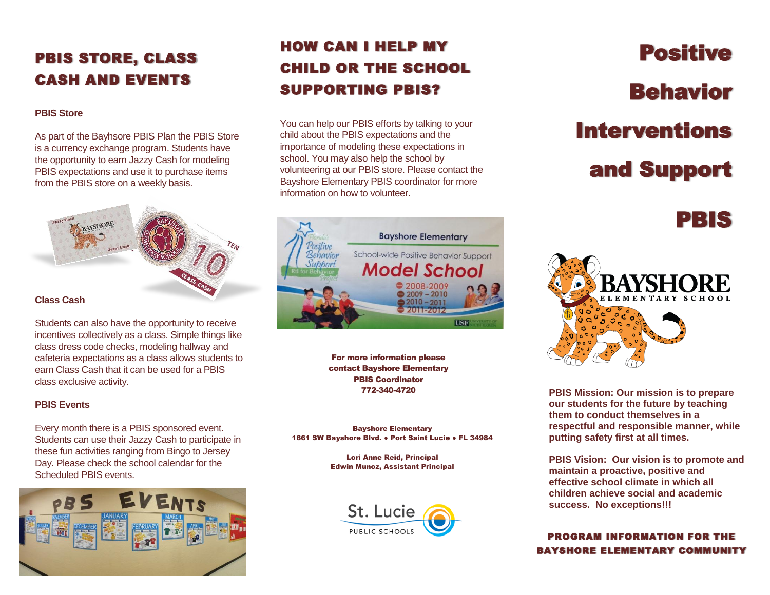# PBIS STORE, CLASS CASH AND EVENTS

#### **PBIS Store**

As part of the Bayhsore PBIS Plan the PBIS Store is a currency exchange program. Students have the opportunity to earn Jazzy Cash for modeling PBIS expectations and use it to purchase items from the PBIS store on a weekly basis.



Students can also have the opportunity to receive incentives collectively as a class. Simple things like class dress code checks, modeling hallway and cafeteria expectations as a class allows students to earn Class Cash that it can be used for a PBIS class exclusive activity.

### **PBIS Events**

Every month there is a PBIS sponsored event. Students can use their Jazzy Cash to participate in these fun activities ranging from Bingo to Jersey Day. Please check the school calendar for the Scheduled PBIS events.



# HOW CAN I HELP MY CHILD OR THE SCHOOL SUPPORTING PBIS?

You can help our PBIS efforts by talking to your child about the PBIS expectations and the importance of modeling these expectations in school. You may also help the school by volunteering at our PBIS store. Please contact the Bayshore Elementary PBIS coordinator for more information on how to volunteer.



For more information please contact Bayshore Elementary PBIS Coordinator 772-340-4720

Bayshore Elementary 1661 SW Bayshore Blvd. • Port Saint Lucie • FL 34984

> Lori Anne Reid, Principal Edwin Munoz, Assistant Principal



Positive Behavior Interventions and Support

PBIS



**PBIS Mission: Our mission is to prepare our students for the future by teaching them to conduct themselves in a respectful and responsible manner, while putting safety first at all times.**

**PBIS Vision: Our vision is to promote and maintain a proactive, positive and effective school climate in which all children achieve social and academic success. No exceptions!!!**

PROGRAM INFORMATION FOR THE BAYSHORE ELEMENTARY COMMUNITY